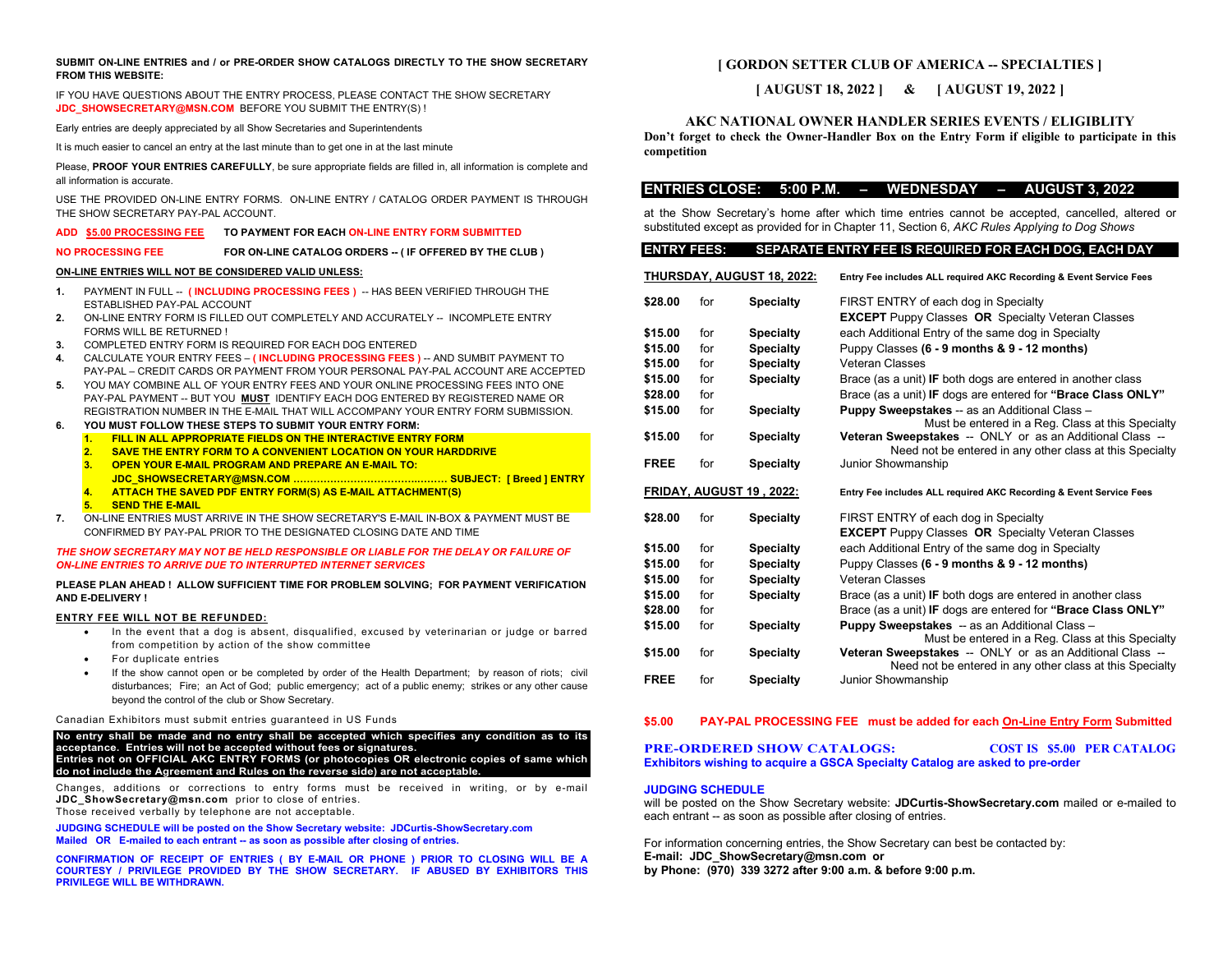## **SUBMIT ON-LINE ENTRIES and / or PRE-ORDER SHOW CATALOGS DIRECTLY TO THE SHOW SECRETARY FROM THIS WEBSITE:**

IF YOU HAVE QUESTIONS ABOUT THE ENTRY PROCESS, PLEASE CONTACT THE SHOW SECRETARY **[JDC\\_SHOWSECRETARY@MSN.COM](mailto:JDC_SHOWSECRETARY@MSN.COM)** BEFORE YOU SUBMIT THE ENTRY(S) !

Early entries are deeply appreciated by all Show Secretaries and Superintendents

It is much easier to cancel an entry at the last minute than to get one in at the last minute

Please, **PROOF YOUR ENTRIES CAREFULLY**, be sure appropriate fields are filled in, all information is complete and all information is accurate.

USE THE PROVIDED ON-LINE ENTRY FORMS. ON-LINE ENTRY / CATALOG ORDER PAYMENT IS THROUGH THE SHOW SECRETARY PAY-PAL ACCOUNT.

# **ADD \$5.00 PROCESSING FEE TO PAYMENT FOR EACH ON-LINE ENTRY FORM SUBMITTED**

**NO PROCESSING FEE FOR ON-LINE CATALOG ORDERS -- ( IF OFFERED BY THE CLUB )** 

## **ON-LINE ENTRIES WILL NOT BE CONSIDERED VALID UNLESS:**

- **1.** PAYMENT IN FULL -- **( INCLUDING PROCESSING FEES )** -- HAS BEEN VERIFIED THROUGH THE ESTABLISHED PAY-PAL ACCOUNT
- **2.** ON-LINE ENTRY FORM IS FILLED OUT COMPLETELY AND ACCURATELY -- INCOMPLETE ENTRY FORMS WILL BE RETURNED !
- **3.** COMPLETED ENTRY FORM IS REQUIRED FOR EACH DOG ENTERED
- **4.** CALCULATE YOUR ENTRY FEES **( INCLUDING PROCESSING FEES )** -- AND SUMBIT PAYMENT TO PAY-PAL – CREDIT CARDS OR PAYMENT FROM YOUR PERSONAL PAY-PAL ACCOUNT ARE ACCEPTED
- **5.** YOU MAY COMBINE ALL OF YOUR ENTRY FEES AND YOUR ONLINE PROCESSING FEES INTO ONE PAY-PAL PAYMENT -- BUT YOU **MUST** IDENTIFY EACH DOG ENTERED BY REGISTERED NAME OR REGISTRATION NUMBER IN THE E-MAIL THAT WILL ACCOMPANY YOUR ENTRY FORM SUBMISSION.
- **6. YOU MUST FOLLOW THESE STEPS TO SUBMIT YOUR ENTRY FORM:**
	- **1. FILL IN ALL APPROPRIATE FIELDS ON THE INTERACTIVE ENTRY FORM**
	- **2. SAVE THE ENTRY FORM TO A CONVENIENT LOCATION ON YOUR HARDDRIVE**
	- **3. OPEN YOUR E-MAIL PROGRAM AND PREPARE AN E-MAIL TO:**
	- **JDC\_SHOWSECRETARY@MSN.COM ……………………………….……… SUBJECT: [ Breed ] ENTRY 4. ATTACH THE SAVED PDF ENTRY FORM(S) AS E-MAIL ATTACHMENT(S)**
	- **5. SEND THE E-MAIL**
- **7.** ON-LINE ENTRIES MUST ARRIVE IN THE SHOW SECRETARY'S E-MAIL IN-BOX & PAYMENT MUST BE CONFIRMED BY PAY-PAL PRIOR TO THE DESIGNATED CLOSING DATE AND TIME

## *THE SHOW SECRETARY MAY NOT BE HELD RESPONSIBLE OR LIABLE FOR THE DELAY OR FAILURE OF ON-LINE ENTRIES TO ARRIVE DUE TO INTERRUPTED INTERNET SERVICES*

## **PLEASE PLAN AHEAD ! ALLOW SUFFICIENT TIME FOR PROBLEM SOLVING; FOR PAYMENT VERIFICATION AND E-DELIVERY !**

## **ENTRY FEE WILL NOT BE REFUNDED:**

- In the event that a dog is absent, disqualified, excused by veterinarian or judge or barred from competition by action of the show committee
- For duplicate entries
- If the show cannot open or be completed by order of the Health Department; by reason of riots; civil disturbances;Fire; an Act of God; public emergency; act of a public enemy; strikes or any other cause beyond the control of the club or Show Secretary.

### Canadian Exhibitors must submit entries guaranteed in US Funds

**No entry shall be made and no entry shall be accepted which specifies any condition as to its acceptance. Entries will not be accepted without fees or signatures. Entries not on OFFICIAL AKC ENTRY FORMS (or photocopies OR electronic copies of same which do not include the Agreement and Rules on the reverse side) are not acceptable.**

Changes, additions or corrections to entry forms must be received in writing, or by e-mail **[JDC\\_ShowSecretary@msn.com](mailto:JDC_ShowSecretary@msn.com)** prior to close of entries. Those received verbally by telephone are not acceptable.

**JUDGING SCHEDULE will be posted on the Show Secretary website: JDCurtis-ShowSecretary.com Mailed OR E-mailed to each entrant -- as soon as possible after closing of entries.**

**CONFIRMATION OF RECEIPT OF ENTRIES ( BY E-MAIL OR PHONE ) PRIOR TO CLOSING WILL BE A COURTESY / PRIVILEGE PROVIDED BY THE SHOW SECRETARY. IF ABUSED BY EXHIBITORS THIS PRIVILEGE WILL BE WITHDRAWN.**

# **[ GORDON SETTER CLUB OF AMERICA -- SPECIALTIES ]**

# **[ AUGUST 18, 2022 ] & [ AUGUST 19, 2022 ]**

## **AKC NATIONAL OWNER HANDLER SERIES EVENTS / ELIGIBLITY**

**Don't forget to check the Owner-Handler Box on the Entry Form if eligible to participate in this competition**

## **ENTRIES CLOSE: 5:00 P.M. – WEDNESDAY – AUGUST 3, 2022**

at the Show Secretary's home after which time entries cannot be accepted, cancelled, altered or substituted except as provided for in Chapter 11, Section 6, *AKC Rules Applying to Dog Shows*

## **ENTRY FEES: SEPARATE ENTRY FEE IS REQUIRED FOR EACH DOG, EACH DAY**

| <b>THURSDAY, AUGUST 18, 2022:</b> |     |                  | Entry Fee includes ALL required AKC Recording & Event Service Fees                                                   |  |  |  |  |  |  |  |
|-----------------------------------|-----|------------------|----------------------------------------------------------------------------------------------------------------------|--|--|--|--|--|--|--|
| \$28.00                           | for | <b>Specialty</b> | FIRST ENTRY of each dog in Specialty                                                                                 |  |  |  |  |  |  |  |
|                                   |     |                  | <b>EXCEPT</b> Puppy Classes OR Specialty Veteran Classes                                                             |  |  |  |  |  |  |  |
| \$15.00                           | for | <b>Specialty</b> | each Additional Entry of the same dog in Specialty                                                                   |  |  |  |  |  |  |  |
| \$15.00                           | for | <b>Specialty</b> | Puppy Classes (6 - 9 months & 9 - 12 months)                                                                         |  |  |  |  |  |  |  |
| \$15.00                           | for | <b>Specialty</b> | Veteran Classes                                                                                                      |  |  |  |  |  |  |  |
| \$15.00                           | for | <b>Specialty</b> | Brace (as a unit) IF both dogs are entered in another class                                                          |  |  |  |  |  |  |  |
| \$28.00                           | for |                  | Brace (as a unit) IF dogs are entered for "Brace Class ONLY"                                                         |  |  |  |  |  |  |  |
| \$15.00                           | for | <b>Specialty</b> | Puppy Sweepstakes -- as an Additional Class -                                                                        |  |  |  |  |  |  |  |
|                                   |     |                  | Must be entered in a Reg. Class at this Specialty                                                                    |  |  |  |  |  |  |  |
| \$15.00                           | for | <b>Specialty</b> | Veteran Sweepstakes -- ONLY or as an Additional Class --<br>Need not be entered in any other class at this Specialty |  |  |  |  |  |  |  |
| <b>FREE</b>                       | for | <b>Specialty</b> | Junior Showmanship                                                                                                   |  |  |  |  |  |  |  |
|                                   |     |                  |                                                                                                                      |  |  |  |  |  |  |  |
| <b>FRIDAY, AUGUST 19, 2022:</b>   |     |                  | Entry Fee includes ALL required AKC Recording & Event Service Fees                                                   |  |  |  |  |  |  |  |
| \$28.00                           | for | <b>Specialty</b> | FIRST ENTRY of each dog in Specialty                                                                                 |  |  |  |  |  |  |  |
|                                   |     |                  | <b>EXCEPT</b> Puppy Classes OR Specialty Veteran Classes                                                             |  |  |  |  |  |  |  |
| \$15.00                           | for | <b>Specialty</b> | each Additional Entry of the same dog in Specialty                                                                   |  |  |  |  |  |  |  |
| \$15.00                           | for | <b>Specialty</b> | Puppy Classes (6 - 9 months & 9 - 12 months)                                                                         |  |  |  |  |  |  |  |
| \$15.00                           | for | <b>Specialty</b> | Veteran Classes                                                                                                      |  |  |  |  |  |  |  |
|                                   |     |                  |                                                                                                                      |  |  |  |  |  |  |  |
| \$15.00                           | for | <b>Specialty</b> | Brace (as a unit) IF both dogs are entered in another class                                                          |  |  |  |  |  |  |  |
| \$28.00                           | for |                  | Brace (as a unit) IF dogs are entered for "Brace Class ONLY"                                                         |  |  |  |  |  |  |  |
| \$15.00                           | for | <b>Specialty</b> | <b>Puppy Sweepstakes</b> -- as an Additional Class -<br>Must be entered in a Reg. Class at this Specialty            |  |  |  |  |  |  |  |
| \$15.00                           | for | <b>Specialty</b> | Veteran Sweepstakes -- ONLY or as an Additional Class --                                                             |  |  |  |  |  |  |  |
|                                   |     |                  | Need not be entered in any other class at this Specialty                                                             |  |  |  |  |  |  |  |
| <b>FREE</b>                       | for | <b>Specialty</b> | Junior Showmanship                                                                                                   |  |  |  |  |  |  |  |

## **\$5.00 PAY-PAL PROCESSING FEE must be added for each On-Line Entry Form Submitted**

**PRE-ORDERED SHOW CATALOGS: COST IS \$5.00 PER CATALOG Exhibitors wishing to acquire a GSCA Specialty Catalog are asked to pre-order**

## **JUDGING SCHEDULE**

will be posted on the Show Secretary website: **JDCurtis-ShowSecretary.com** mailed or e-mailed to each entrant -- as soon as possible after closing of entries.

For information concerning entries, the Show Secretary can best be contacted by: **E-mail: JDC\_ShowSecretary@msn.com or by Phone: (970) 339 3272 after 9:00 a.m. & before 9:00 p.m.**